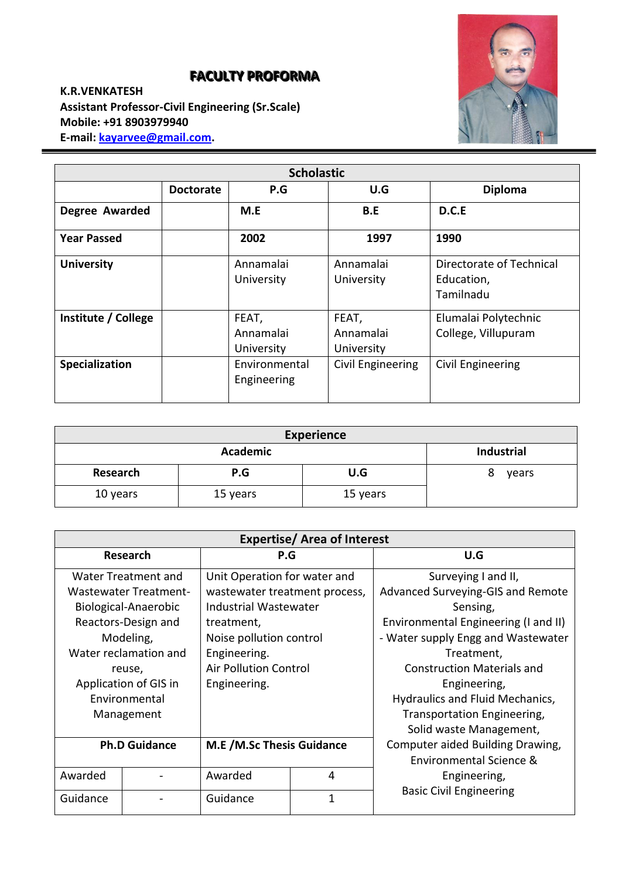# **FACULTY PROFORMA**

**K.R.VENKATESH Assistant Professor-Civil Engineering (Sr.Scale) Mobile: +91 8903979940 E-mail[: kayarvee@gmail.com.](mailto:kayarvee@gmail.com)**



| <b>Scholastic</b>                                |  |                                  |                                  |                                                     |  |  |  |
|--------------------------------------------------|--|----------------------------------|----------------------------------|-----------------------------------------------------|--|--|--|
| U.G<br><b>Diploma</b><br>P.G<br><b>Doctorate</b> |  |                                  |                                  |                                                     |  |  |  |
| <b>Degree Awarded</b>                            |  | M.E                              | B.E                              | D.C.E                                               |  |  |  |
| <b>Year Passed</b>                               |  | 2002                             | 1997                             | 1990                                                |  |  |  |
| <b>University</b>                                |  | Annamalai<br>University          | Annamalai<br>University          | Directorate of Technical<br>Education,<br>Tamilnadu |  |  |  |
| Institute / College                              |  | FEAT,<br>Annamalai<br>University | FEAT,<br>Annamalai<br>University | Elumalai Polytechnic<br>College, Villupuram         |  |  |  |
| Specialization                                   |  | Environmental<br>Engineering     | Civil Engineering                | Civil Engineering                                   |  |  |  |

| <b>Experience</b>                    |          |          |            |  |
|--------------------------------------|----------|----------|------------|--|
| <b>Industrial</b><br><b>Academic</b> |          |          |            |  |
| Research                             | P.G      | U.G      | 8<br>years |  |
| 10 years                             | 15 years | 15 years |            |  |

| <b>Expertise/Area of Interest</b> |                              |                                  |              |                                      |  |
|-----------------------------------|------------------------------|----------------------------------|--------------|--------------------------------------|--|
| <b>Research</b>                   |                              | P.G                              |              | U.G                                  |  |
|                                   | Water Treatment and          | Unit Operation for water and     |              | Surveying I and II,                  |  |
|                                   | <b>Wastewater Treatment-</b> | wastewater treatment process,    |              | Advanced Surveying-GIS and Remote    |  |
|                                   | Biological-Anaerobic         | Industrial Wastewater            |              | Sensing,                             |  |
|                                   | Reactors-Design and          | treatment,                       |              | Environmental Engineering (I and II) |  |
|                                   | Modeling,                    | Noise pollution control          |              | - Water supply Engg and Wastewater   |  |
| Water reclamation and             |                              | Engineering.                     |              | Treatment,                           |  |
| reuse,                            |                              | <b>Air Pollution Control</b>     |              | <b>Construction Materials and</b>    |  |
| Application of GIS in             |                              | Engineering.                     |              | Engineering,                         |  |
| Environmental                     |                              |                                  |              | Hydraulics and Fluid Mechanics,      |  |
| Management                        |                              |                                  |              | Transportation Engineering,          |  |
|                                   |                              |                                  |              | Solid waste Management,              |  |
| <b>Ph.D Guidance</b>              |                              | <b>M.E</b> /M.Sc Thesis Guidance |              | Computer aided Building Drawing,     |  |
|                                   |                              |                                  |              | Environmental Science &              |  |
| Awarded                           |                              | Awarded                          | 4            | Engineering,                         |  |
| Guidance                          |                              | Guidance                         | $\mathbf{1}$ | <b>Basic Civil Engineering</b>       |  |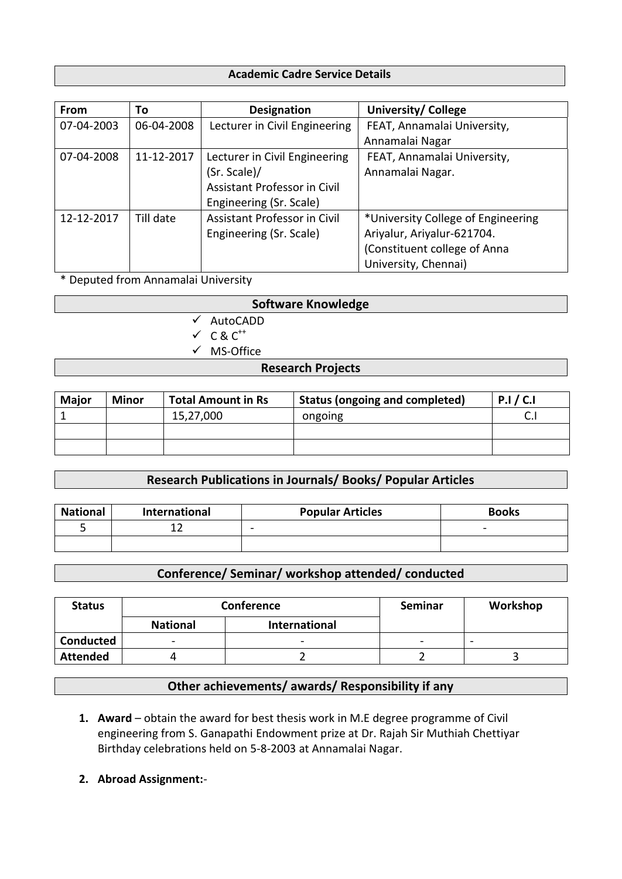#### **Academic Cadre Service Details**

| From       | To         | <b>Designation</b>            | <b>University/ College</b>         |
|------------|------------|-------------------------------|------------------------------------|
| 07-04-2003 | 06-04-2008 | Lecturer in Civil Engineering | FEAT, Annamalai University,        |
|            |            |                               | Annamalai Nagar                    |
| 07-04-2008 | 11-12-2017 | Lecturer in Civil Engineering | FEAT, Annamalai University,        |
|            |            | (Sr. Scale)/                  | Annamalai Nagar.                   |
|            |            | Assistant Professor in Civil  |                                    |
|            |            | Engineering (Sr. Scale)       |                                    |
| 12-12-2017 | Till date  | Assistant Professor in Civil  | *University College of Engineering |
|            |            | Engineering (Sr. Scale)       | Ariyalur, Ariyalur-621704.         |
|            |            |                               | (Constituent college of Anna       |
|            |            |                               | University, Chennai)               |

\* Deputed from Annamalai University

| <b>Software Knowledge</b> |                                  |  |  |  |
|---------------------------|----------------------------------|--|--|--|
|                           | $\checkmark$ AutoCADD            |  |  |  |
|                           | $\checkmark$ C & C <sup>++</sup> |  |  |  |

 $\checkmark$  MS-Office

#### **Research Projects**

| <b>Major</b> | <b>Minor</b> | <b>Total Amount in Rs</b> | <b>Status (ongoing and completed)</b> | P.I/C.I |
|--------------|--------------|---------------------------|---------------------------------------|---------|
|              |              | 15,27,000                 | ongoing                               |         |
|              |              |                           |                                       |         |
|              |              |                           |                                       |         |

# **Research Publications in Journals/ Books/ Popular Articles**

| <b>National</b> | International | <b>Popular Articles</b>  | <b>Books</b> |
|-----------------|---------------|--------------------------|--------------|
|                 |               | $\overline{\phantom{0}}$ | -            |
|                 |               |                          |              |

## **Conference/ Seminar/ workshop attended/ conducted**

| <b>Status</b>    | <b>Conference</b> |                      | Seminar | Workshop |
|------------------|-------------------|----------------------|---------|----------|
|                  | <b>National</b>   | <b>International</b> |         |          |
| <b>Conducted</b> | -                 | -                    | $\sim$  | -        |
| <b>Attended</b>  |                   |                      |         |          |

## **Other achievements/ awards/ Responsibility if any**

- **1. Award** obtain the award for best thesis work in M.E degree programme of Civil engineering from S. Ganapathi Endowment prize at Dr. Rajah Sir Muthiah Chettiyar Birthday celebrations held on 5-8-2003 at Annamalai Nagar.
- **2. Abroad Assignment:**-